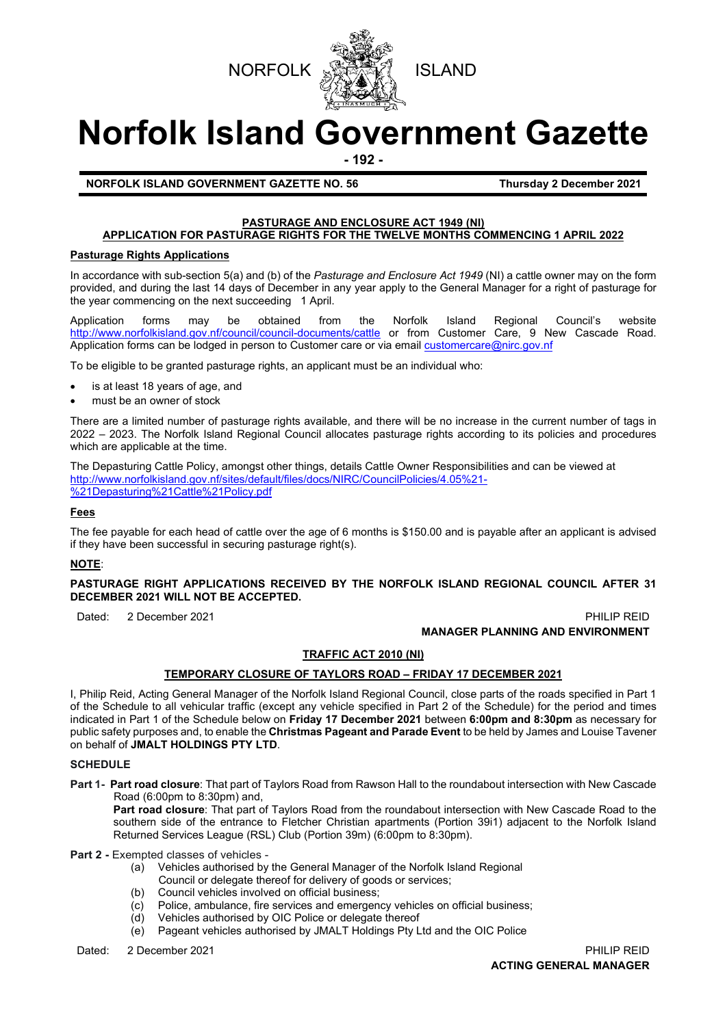



# **Norfolk Island Government Gazette**

**- 192 -**

**NORFOLK ISLAND GOVERNMENT GAZETTE NO. 56 Thursday 2 December 2021**

#### **PASTURAGE AND ENCLOSURE ACT 1949 (NI) APPLICATION FOR PASTURAGE RIGHTS FOR THE TWELVE MONTHS COMMENCING 1 APRIL 2022**

#### **Pasturage Rights Applications**

In accordance with sub-section 5(a) and (b) of the *Pasturage and Enclosure Act 1949* (NI) a cattle owner may on the form provided, and during the last 14 days of December in any year apply to the General Manager for a right of pasturage for the year commencing on the next succeeding 1 April.

Application forms may be obtained from the Norfolk Island Regional Council's website <http://www.norfolkisland.gov.nf/council/council-documents/cattle> or from Customer Care, 9 New Cascade Road. Application forms can be lodged in person to Customer care or via emai[l customercare@nirc.gov.nf](mailto:customercare@nirc.gov.nf) 

To be eligible to be granted pasturage rights, an applicant must be an individual who:

- is at least 18 years of age, and
- must be an owner of stock

There are a limited number of pasturage rights available, and there will be no increase in the current number of tags in 2022 – 2023. The Norfolk Island Regional Council allocates pasturage rights according to its policies and procedures which are applicable at the time.

The Depasturing Cattle Policy, amongst other things, details Cattle Owner Responsibilities and can be viewed at [http://www.norfolkisland.gov.nf/sites/default/files/docs/NIRC/CouncilPolicies/4.05%21-](http://www.norfolkisland.gov.nf/sites/default/files/docs/NIRC/CouncilPolicies/4.05%21-%21Depasturing%21Cattle%21Policy.pdf) [%21Depasturing%21Cattle%21Policy.pdf](http://www.norfolkisland.gov.nf/sites/default/files/docs/NIRC/CouncilPolicies/4.05%21-%21Depasturing%21Cattle%21Policy.pdf)

## **Fees**

The fee payable for each head of cattle over the age of 6 months is \$150.00 and is payable after an applicant is advised if they have been successful in securing pasturage right(s).

#### **NOTE**:

#### **PASTURAGE RIGHT APPLICATIONS RECEIVED BY THE NORFOLK ISLAND REGIONAL COUNCIL AFTER 31 DECEMBER 2021 WILL NOT BE ACCEPTED.**

Dated: 2 December 2021 PHILIP REID

**MANAGER PLANNING AND ENVIRONMENT**

#### **TRAFFIC ACT 2010 (NI)**

#### **TEMPORARY CLOSURE OF TAYLORS ROAD – FRIDAY 17 DECEMBER 2021**

I, Philip Reid, Acting General Manager of the Norfolk Island Regional Council, close parts of the roads specified in Part 1 of the Schedule to all vehicular traffic (except any vehicle specified in Part 2 of the Schedule) for the period and times indicated in Part 1 of the Schedule below on **Friday 17 December 2021** between **6:00pm and 8:30pm** as necessary for public safety purposes and, to enable the **Christmas Pageant and Parade Event** to be held by James and Louise Tavener on behalf of **JMALT HOLDINGS PTY LTD**.

#### **SCHEDULE**

**Part 1- Part road closure**: That part of Taylors Road from Rawson Hall to the roundabout intersection with New Cascade Road (6:00pm to 8:30pm) and,

Part road closure: That part of Taylors Road from the roundabout intersection with New Cascade Road to the southern side of the entrance to Fletcher Christian apartments (Portion 39i1) adjacent to the Norfolk Island Returned Services League (RSL) Club (Portion 39m) (6:00pm to 8:30pm).

**Part 2 -** Exempted classes of vehicles -

- (a) Vehicles authorised by the General Manager of the Norfolk Island Regional
- Council or delegate thereof for delivery of goods or services;
- (b) Council vehicles involved on official business;
- (c) Police, ambulance, fire services and emergency vehicles on official business;
- 
- (d) Vehicles authorised by OIC Police or delegate thereof<br>(e) Pageant vehicles authorised by JMALT Holdings Ptv L Pageant vehicles authorised by JMALT Holdings Pty Ltd and the OIC Police